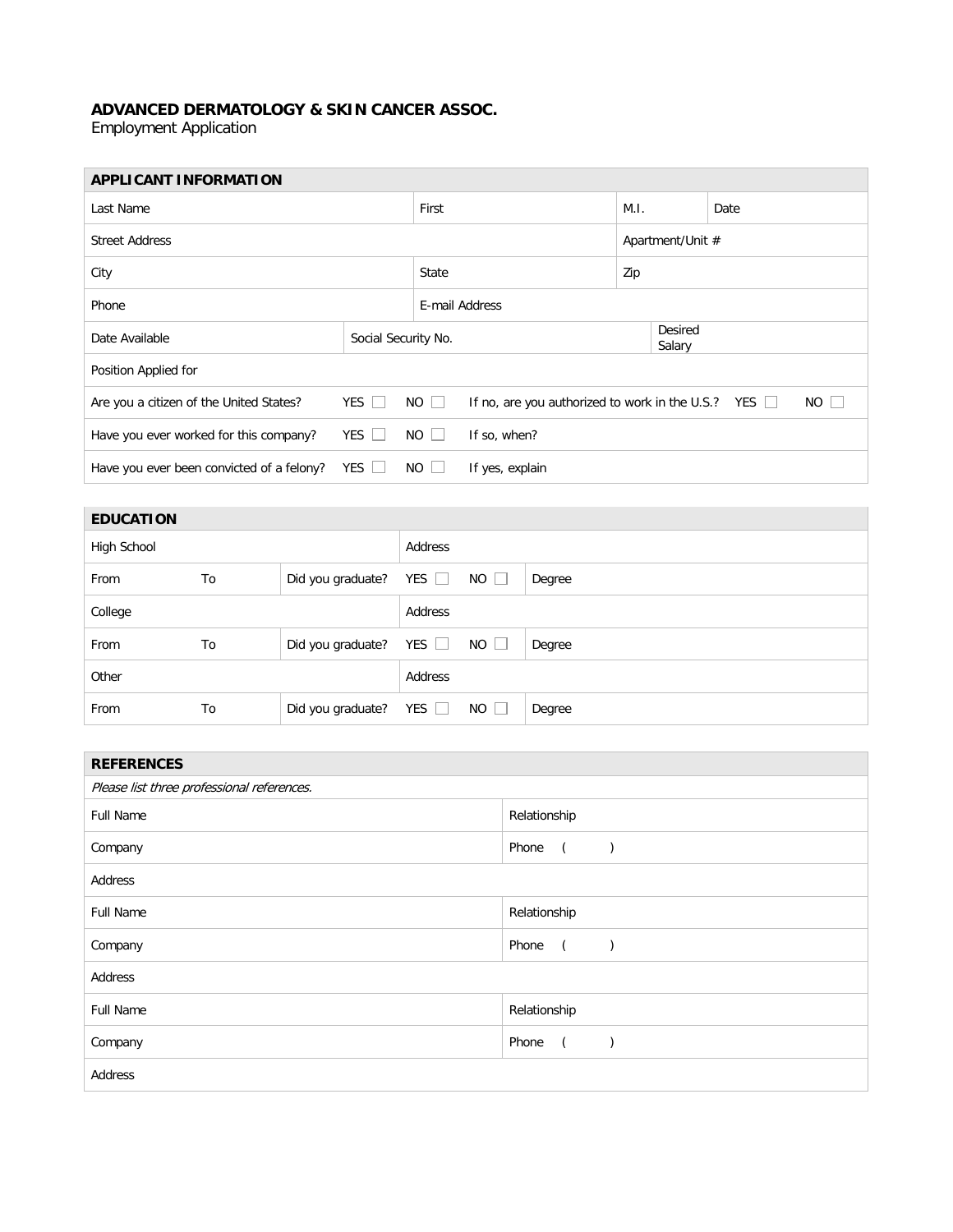## **ADVANCED DERMATOLOGY & SKIN CANCER ASSOC.**

Employment Application

| <b>APPLICANT INFORMATION</b>              |                     |             |                                                           |                   |  |      |     |
|-------------------------------------------|---------------------|-------------|-----------------------------------------------------------|-------------------|--|------|-----|
| Last Name                                 |                     |             |                                                           | M.I.              |  | Date |     |
| <b>Street Address</b>                     |                     |             |                                                           | Apartment/Unit #  |  |      |     |
| City                                      |                     |             |                                                           | Zip               |  |      |     |
| Phone                                     |                     |             | E-mail Address                                            |                   |  |      |     |
| Date Available                            | Social Security No. |             |                                                           | Desired<br>Salary |  |      |     |
| Position Applied for                      |                     |             |                                                           |                   |  |      |     |
| Are you a citizen of the United States?   | YES                 | $NO$ $ $    | If no, are you authorized to work in the U.S.? YES $\Box$ |                   |  |      | NO. |
| Have you ever worked for this company?    | YES $\Box$          | $NO$ $\Box$ | If so, when?                                              |                   |  |      |     |
| Have you ever been convicted of a felony? | YES $\Box$          | $NO \perp$  | If yes, explain                                           |                   |  |      |     |

| <b>EDUCATION</b> |    |                   |            |             |        |
|------------------|----|-------------------|------------|-------------|--------|
| High School      |    |                   | Address    |             |        |
| From             | To | Did you graduate? | YES $\Box$ | $NO$ $\Box$ | Degree |
| College          |    |                   | Address    |             |        |
| From             | To | Did you graduate? | YES $\Box$ | $NO$ $\Box$ | Degree |
| Other            |    |                   | Address    |             |        |
| From             | To | Did you graduate? | YES $\Box$ | $NO$ $\Box$ | Degree |

r.

| Relationship            |
|-------------------------|
| Phone<br>$\left($       |
|                         |
| Relationship            |
| Phone<br>$\left($       |
|                         |
| Relationship            |
| Phone<br>$\overline{a}$ |
|                         |
|                         |